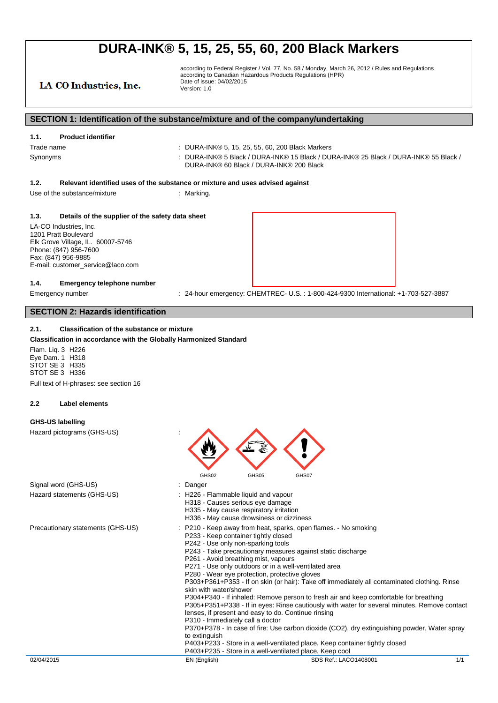LA-CO Industries, Inc.

according to Federal Register / Vol. 77, No. 58 / Monday, March 26, 2012 / Rules and Regulations according to Canadian Hazardous Products Regulations (HPR) Date of issue: 04/02/2015 Version: 1.0

### **SECTION 1: Identification of the substance/mixture and of the company/undertaking**

| -----<br>. |                                                                                                                                |
|------------|--------------------------------------------------------------------------------------------------------------------------------|
| Trade name | DURA-INK® 5, 15, 25, 55, 60, 200 Black Markers                                                                                 |
| Synonyms   | DURA-INK® 5 Black / DURA-INK® 15 Black / DURA-INK® 25 Black / DURA-INK® 55 Black /<br>DURA-INK® 60 Black / DURA-INK® 200 Black |

#### **1.2. Relevant identified uses of the substance or mixture and uses advised against**

Use of the substance/mixture : Marking

**1.1. Product identifier**

#### **1.3. Details of the supplier of the safety data sheet**

LA-CO Industries, Inc. 1201 Pratt Boulevard Elk Grove Village, IL. 60007-5746 Phone: (847) 956-7600 Fax: (847) 956-9885 E-mail: customer\_service@laco.com

#### **1.4. Emergency telephone number**

Emergency number : 24-hour emergency: CHEMTREC- U.S.: 1-800-424-9300 International: +1-703-527-3887

### **SECTION 2: Hazards identification**

#### **2.1. Classification of the substance or mixture**

#### **Classification in accordance with the Globally Harmonized Standard**

Flam. Liq. 3 H226 Eye Dam. 1 H318 STOT SE 3 H335 STOT SE 3 H336 Full text of H-phrases: see section 16

**2.2 Label elements**

### **GHS-US labelling**

Hazard pictograms (GHS-US) :



- Signal word (GHS-US) **in the state of the Signal word (GHS-US)** and the state of the state of the Signal and the Signal and Signal and Signal and Signal and Signal and Signal and Signal and Signal and Signal and Signal and
- Hazard statements (GHS-US) **:** H226 Flammable liquid and vapour
	- H318 Causes serious eye damage
	- H335 May cause respiratory irritation
	- H336 May cause drowsiness or dizziness
- Precautionary statements (GHS-US) : P210 Keep away from heat, sparks, open flames. No smoking P233 - Keep container tightly closed
	- P242 Use only non-sparking tools
	- P243 Take precautionary measures against static discharge
	- P261 Avoid breathing mist, vapours
	- P271 Use only outdoors or in a well-ventilated area
	- P280 Wear eye protection, protective gloves

P303+P361+P353 - If on skin (or hair): Take off immediately all contaminated clothing. Rinse skin with water/shower

P304+P340 - If inhaled: Remove person to fresh air and keep comfortable for breathing P305+P351+P338 - If in eyes: Rinse cautiously with water for several minutes. Remove contact

- lenses, if present and easy to do. Continue rinsing
- P310 Immediately call a doctor

P370+P378 - In case of fire: Use carbon dioxide (CO2), dry extinguishing powder, Water spray to extinguish

P403+P233 - Store in a well-ventilated place. Keep container tightly closed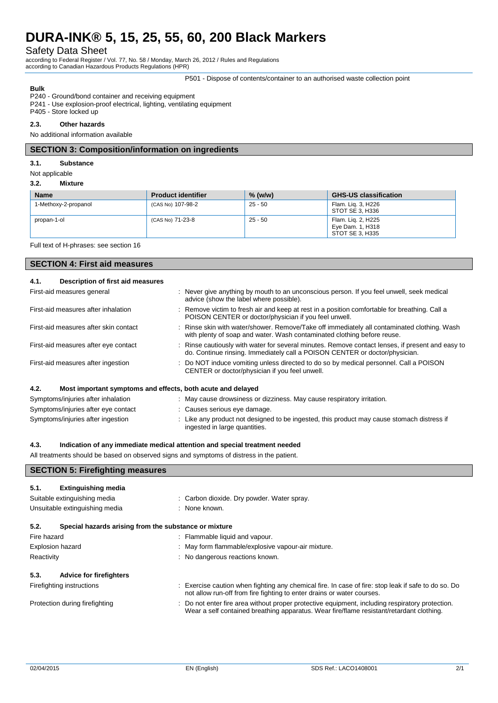Safety Data Sheet

according to Federal Register / Vol. 77, No. 58 / Monday, March 26, 2012 / Rules and Regulations according to Canadian Hazardous Products Regulations (HPR)

P501 - Dispose of contents/container to an authorised waste collection point

# **Bulk**

P240 - Ground/bond container and receiving equipment P241 - Use explosion-proof electrical, lighting, ventilating equipment

# P405 - Store locked up

# **2.3. Other hazards**

No additional information available

# **SECTION 3: Composition/information on ingredients**

#### **3.1. Substance**

Not applicable

#### **3.2. Mixture**

| <b>Name</b>          | <b>Product identifier</b> | $%$ (w/w) | <b>GHS-US classification</b>                              |
|----------------------|---------------------------|-----------|-----------------------------------------------------------|
| 1-Methoxy-2-propanol | (CAS No) 107-98-2         | $25 - 50$ | Flam. Lig. 3, H226<br>STOT SE 3. H336                     |
| propan-1-ol          | (CAS No) 71-23-8          | $25 - 50$ | Flam. Lig. 2, H225<br>Eye Dam. 1, H318<br>STOT SE 3. H335 |

Full text of H-phrases: see section 16

# **SECTION 4: First aid measures**

| 4.1. | Description of first aid measures                           |                                                                                                                                                                                 |
|------|-------------------------------------------------------------|---------------------------------------------------------------------------------------------------------------------------------------------------------------------------------|
|      | First-aid measures general                                  | : Never give anything by mouth to an unconscious person. If you feel unwell, seek medical<br>advice (show the label where possible).                                            |
|      | First-aid measures after inhalation                         | : Remove victim to fresh air and keep at rest in a position comfortable for breathing. Call a<br>POISON CENTER or doctor/physician if you feel unwell.                          |
|      | First-aid measures after skin contact                       | : Rinse skin with water/shower. Remove/Take off immediately all contaminated clothing. Wash<br>with plenty of soap and water. Wash contaminated clothing before reuse.          |
|      | First-aid measures after eye contact                        | : Rinse cautiously with water for several minutes. Remove contact lenses, if present and easy to<br>do. Continue rinsing. Immediately call a POISON CENTER or doctor/physician. |
|      | First-aid measures after ingestion                          | : Do NOT induce vomiting unless directed to do so by medical personnel. Call a POISON<br>CENTER or doctor/physician if you feel unwell.                                         |
| 4.2. | Most important symptoms and effects, both acute and delayed |                                                                                                                                                                                 |
|      | Symptoms/injuries after inhalation                          | : May cause drowsiness or dizziness. May cause respiratory irritation.                                                                                                          |
|      | Symptoms/injuries after eye contact                         | : Causes serious eye damage.                                                                                                                                                    |
|      | Symptoms/injuries after ingestion                           | : Like any product not designed to be ingested, this product may cause stomach distress if<br>ingested in large quantities.                                                     |

#### **4.3. Indication of any immediate medical attention and special treatment needed**

All treatments should be based on observed signs and symptoms of distress in the patient.

# **SECTION 5: Firefighting measures**

| 5.1.                    | <b>Extinguishing media</b>                            |                                                                                                                                                                                             |
|-------------------------|-------------------------------------------------------|---------------------------------------------------------------------------------------------------------------------------------------------------------------------------------------------|
|                         | Suitable extinguishing media                          | : Carbon dioxide. Dry powder. Water spray.                                                                                                                                                  |
|                         | Unsuitable extinguishing media                        | : None known.                                                                                                                                                                               |
| 5.2.                    | Special hazards arising from the substance or mixture |                                                                                                                                                                                             |
| Fire hazard             |                                                       | : Flammable liquid and vapour.                                                                                                                                                              |
| <b>Explosion hazard</b> |                                                       | : May form flammable/explosive vapour-air mixture.                                                                                                                                          |
| Reactivity              |                                                       | : No dangerous reactions known.                                                                                                                                                             |
| 5.3.                    | <b>Advice for firefighters</b>                        |                                                                                                                                                                                             |
|                         | Firefighting instructions                             | : Exercise caution when fighting any chemical fire. In case of fire: stop leak if safe to do so. Do<br>not allow run-off from fire fighting to enter drains or water courses.               |
|                         | Protection during firefighting                        | : Do not enter fire area without proper protective equipment, including respiratory protection.<br>Wear a self contained breathing apparatus. Wear fire/flame resistant/retardant clothing. |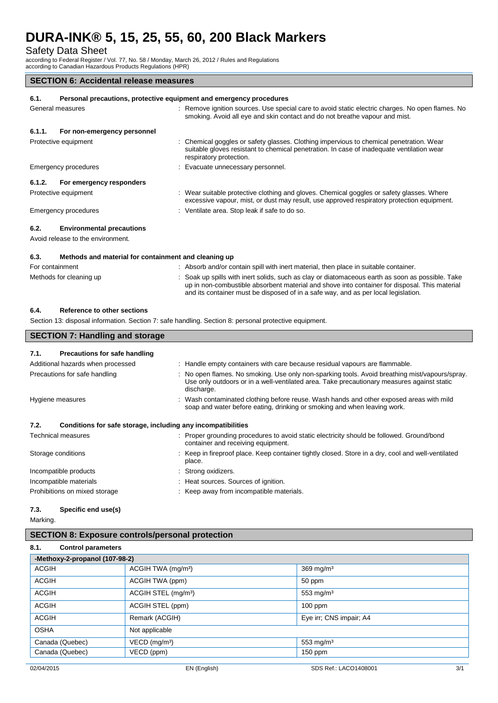Safety Data Sheet

according to Federal Register / Vol. 77, No. 58 / Monday, March 26, 2012 / Rules and Regulations according to Canadian Hazardous Products Regulations (HPR)

# **SECTION 6: Accidental release measures**

# **6.1. Personal precautions, protective equipment and emergency procedures** General measures static in the static static electric charges. No open flames. No open flames. No open flames. No smoking. Avoid all eye and skin contact and do not breathe vapour and mist. **6.1.1. For non-emergency personnel** Protective equipment **interval and the Chemical goggles or safety glasses.** Clothing impervious to chemical penetration. Wear suitable gloves resistant to chemical penetration. In case of inadequate ventilation wear respiratory protection. Emergency procedures : Evacuate unnecessary personnel. **6.1.2. For emergency responders** Protective equipment **interest of the suitable protective clothing and gloves. Chemical goggles or safety glasses. Where** excessive vapour, mist, or dust may result, use approved respiratory protection equipment. Emergency procedures : Ventilate area. Stop leak if safe to do so. **6.2. Environmental precautions** Avoid release to the environment. **6.3. Methods and material for containment and cleaning up**

| For containment         | Absorb and/or contain spill with inert material, then place in suitable container.                                                                                                                |
|-------------------------|---------------------------------------------------------------------------------------------------------------------------------------------------------------------------------------------------|
| Methods for cleaning up | : Soak up spills with inert solids, such as clay or diatomaceous earth as soon as possible. Take<br>up in non-combustible absorbent material and shove into container for disposal. This material |
|                         | and its container must be disposed of in a safe way, and as per local legislation.                                                                                                                |

# **6.4. Reference to other sections**

**SECTION 7: Handling and storage**

Section 13: disposal information. Section 7: safe handling. Section 8: personal protective equipment.

| <b>SLCTION 7. Handling and storage</b> |                                                                                                                                                                                                            |  |
|----------------------------------------|------------------------------------------------------------------------------------------------------------------------------------------------------------------------------------------------------------|--|
| 7.1.<br>Precautions for safe handling  |                                                                                                                                                                                                            |  |
| Additional hazards when processed      | : Handle empty containers with care because residual vapours are flammable.                                                                                                                                |  |
| Precautions for safe handling          | : No open flames. No smoking. Use only non-sparking tools. Avoid breathing mist/vapours/spray.<br>Use only outdoors or in a well-ventilated area. Take precautionary measures against static<br>discharge. |  |
| Hygiene measures                       | : Wash contaminated clothing before reuse. Wash hands and other exposed areas with mild<br>soap and water before eating, drinking or smoking and when leaving work.                                        |  |
| 7.2.                                   | Conditions for safe storage, including any incompatibilities                                                                                                                                               |  |
| Technical measures                     | : Proper grounding procedures to avoid static electricity should be followed. Ground/bond<br>container and receiving equipment.                                                                            |  |
| Storage conditions                     | : Keep in fireproof place. Keep container tightly closed. Store in a dry, cool and well-ventilated<br>place.                                                                                               |  |
| Incompatible products                  | : Strong oxidizers.                                                                                                                                                                                        |  |
| Incompatible materials                 | : Heat sources. Sources of ignition.                                                                                                                                                                       |  |
| Prohibitions on mixed storage          | : Keep away from incompatible materials.                                                                                                                                                                   |  |

# **7.3. Specific end use(s)**

Marking.

# **SECTION 8: Exposure controls/personal protection**

| 8.1.<br><b>Control parameters</b> |                                 |                         |  |  |  |  |
|-----------------------------------|---------------------------------|-------------------------|--|--|--|--|
|                                   | -Methoxy-2-propanol (107-98-2)  |                         |  |  |  |  |
| <b>ACGIH</b>                      | ACGIH TWA (mg/m <sup>3</sup> )  | $369$ mg/m <sup>3</sup> |  |  |  |  |
| <b>ACGIH</b>                      | ACGIH TWA (ppm)                 | 50 ppm                  |  |  |  |  |
| <b>ACGIH</b>                      | ACGIH STEL (mg/m <sup>3</sup> ) | 553 mg/m $3$            |  |  |  |  |
| <b>ACGIH</b>                      | ACGIH STEL (ppm)                | $100$ ppm               |  |  |  |  |
| <b>ACGIH</b>                      | Remark (ACGIH)                  | Eye irr; CNS impair; A4 |  |  |  |  |
| <b>OSHA</b>                       | Not applicable                  |                         |  |  |  |  |
| Canada (Quebec)                   | $VECD$ (mg/m <sup>3</sup> )     | 553 mg/m $3$            |  |  |  |  |
| Canada (Quebec)                   | VECD (ppm)                      | $150$ ppm               |  |  |  |  |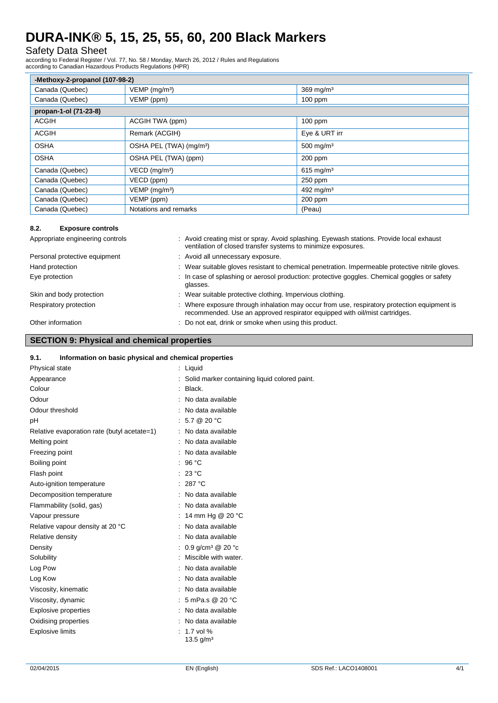# Safety Data Sheet

according to Federal Register / Vol. 77, No. 58 / Monday, March 26, 2012 / Rules and Regulations according to Canadian Hazardous Products Regulations (HPR)

| -Methoxy-2-propanol (107-98-2) |                                     |                         |  |  |  |
|--------------------------------|-------------------------------------|-------------------------|--|--|--|
| Canada (Quebec)                | $VEMP$ (mg/m <sup>3</sup> )         | $369$ mg/m <sup>3</sup> |  |  |  |
| Canada (Quebec)                | VEMP (ppm)                          | $100$ ppm               |  |  |  |
| propan-1-ol (71-23-8)          |                                     |                         |  |  |  |
| <b>ACGIH</b>                   | ACGIH TWA (ppm)                     | $100$ ppm               |  |  |  |
| <b>ACGIH</b>                   | Remark (ACGIH)                      | Eye & URT irr           |  |  |  |
| <b>OSHA</b>                    | OSHA PEL (TWA) (mg/m <sup>3</sup> ) | 500 mg/m $3$            |  |  |  |
| <b>OSHA</b>                    | OSHA PEL (TWA) (ppm)                | $200$ ppm               |  |  |  |
| Canada (Quebec)                | VECD (mg/m <sup>3</sup> )           | $615 \,\mathrm{mq/m^3}$ |  |  |  |
| Canada (Quebec)                | VECD (ppm)                          | 250 ppm                 |  |  |  |
| Canada (Quebec)                | $VEMP$ (mg/m <sup>3</sup> )         | 492 mg/m <sup>3</sup>   |  |  |  |
| Canada (Quebec)                | VEMP (ppm)                          | $200$ ppm               |  |  |  |
| Canada (Quebec)                | Notations and remarks               | (Peau)                  |  |  |  |

# **8.2. Exposure controls**

| Appropriate engineering controls | : Avoid creating mist or spray. Avoid splashing. Eyewash stations. Provide local exhaust<br>ventilation of closed transfer systems to minimize exposures.                 |
|----------------------------------|---------------------------------------------------------------------------------------------------------------------------------------------------------------------------|
| Personal protective equipment    | : Avoid all unnecessary exposure.                                                                                                                                         |
| Hand protection                  | : Wear suitable gloves resistant to chemical penetration. Impermeable protective nitrile gloves.                                                                          |
| Eye protection                   | : In case of splashing or aerosol production: protective goggles. Chemical goggles or safety<br>glasses.                                                                  |
| Skin and body protection         | : Wear suitable protective clothing. Impervious clothing.                                                                                                                 |
| Respiratory protection           | : Where exposure through inhalation may occur from use, respiratory protection equipment is<br>recommended. Use an approved respirator equipped with oil/mist cartridges. |
| Other information                | : Do not eat, drink or smoke when using this product.                                                                                                                     |

# **SECTION 9: Physical and chemical properties**

# **9.1. Information on basic physical and chemical properties**

| Physical state                              | : Liquid                                      |
|---------------------------------------------|-----------------------------------------------|
| Appearance                                  | Solid marker containing liquid colored paint. |
| Colour                                      | Black.                                        |
| Odour                                       | No data available                             |
| Odour threshold                             | No data available                             |
| рH                                          | 5.7 @ 20 °C                                   |
| Relative evaporation rate (butyl acetate=1) | No data available                             |
| Melting point                               | No data available                             |
| Freezing point                              | No data available                             |
| Boiling point                               | 96 $°C$                                       |
| Flash point                                 | 23 °C                                         |
| Auto-ignition temperature                   | 287 °C                                        |
| Decomposition temperature                   | No data available                             |
| Flammability (solid, gas)                   | No data available                             |
| Vapour pressure                             | 14 mm Hg @ 20 °C                              |
| Relative vapour density at 20 °C            | No data available                             |
| Relative density                            | No data available                             |
| Density                                     | 0.9 g/cm <sup>3</sup> @ 20 °c                 |
| Solubility                                  | Miscible with water.                          |
| Log Pow                                     | No data available                             |
| Log Kow                                     | No data available                             |
| Viscosity, kinematic                        | No data available                             |
| Viscosity, dynamic                          | 5 mPa.s @ 20 °C                               |
| <b>Explosive properties</b>                 | No data available                             |
| Oxidising properties                        | No data available                             |
| <b>Explosive limits</b>                     | 1.7 vol %<br>13.5 g/m <sup>3</sup>            |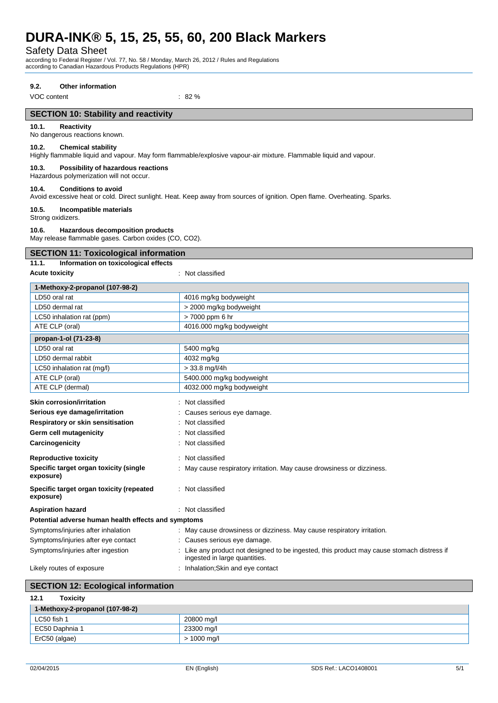Safety Data Sheet

according to Federal Register / Vol. 77, No. 58 / Monday, March 26, 2012 / Rules and Regulations according to Canadian Hazardous Products Regulations (HPR)

### **9.2. Other information**

VOC content : 82 %

# **SECTION 10: Stability and reactivity**

# **10.1. Reactivity**

No dangerous reactions known.

# **10.2. Chemical stability**

Highly flammable liquid and vapour. May form flammable/explosive vapour-air mixture. Flammable liquid and vapour.

# **10.3. Possibility of hazardous reactions**

Hazardous polymerization will not occur.

#### **10.4. Conditions to avoid**

Avoid excessive heat or cold. Direct sunlight. Heat. Keep away from sources of ignition. Open flame. Overheating. Sparks.

#### **10.5. Incompatible materials**

Strong oxidizers.

#### **10.6. Hazardous decomposition products**

May release flammable gases. Carbon oxides (CO, CO2).

# **SECTION 11: Toxicological information**

# **11.1. Information on toxicological effects**

**Acute toxicity** : Not classified

| 1-Methoxy-2-propanol (107-98-2)                       |                                                                                                                           |  |
|-------------------------------------------------------|---------------------------------------------------------------------------------------------------------------------------|--|
| LD50 oral rat                                         | 4016 mg/kg bodyweight                                                                                                     |  |
| LD50 dermal rat                                       | > 2000 mg/kg bodyweight                                                                                                   |  |
| LC50 inhalation rat (ppm)                             | > 7000 ppm 6 hr                                                                                                           |  |
| ATE CLP (oral)                                        | 4016.000 mg/kg bodyweight                                                                                                 |  |
| propan-1-ol (71-23-8)                                 |                                                                                                                           |  |
| LD50 oral rat                                         | 5400 mg/kg                                                                                                                |  |
| LD50 dermal rabbit                                    | 4032 mg/kg                                                                                                                |  |
| LC50 inhalation rat (mg/l)                            | $> 33.8$ mg/l/4h                                                                                                          |  |
| ATE CLP (oral)                                        | 5400.000 mg/kg bodyweight                                                                                                 |  |
| ATE CLP (dermal)                                      | 4032.000 mg/kg bodyweight                                                                                                 |  |
| <b>Skin corrosion/irritation</b>                      | Not classified                                                                                                            |  |
| Serious eye damage/irritation                         | Causes serious eye damage.                                                                                                |  |
| Respiratory or skin sensitisation                     | Not classified                                                                                                            |  |
| Germ cell mutagenicity                                | Not classified                                                                                                            |  |
| Carcinogenicity                                       | Not classified                                                                                                            |  |
| <b>Reproductive toxicity</b>                          | Not classified                                                                                                            |  |
| Specific target organ toxicity (single<br>exposure)   | May cause respiratory irritation. May cause drowsiness or dizziness.                                                      |  |
| Specific target organ toxicity (repeated<br>exposure) | : Not classified                                                                                                          |  |
| <b>Aspiration hazard</b>                              | : Not classified                                                                                                          |  |
| Potential adverse human health effects and symptoms   |                                                                                                                           |  |
| Symptoms/injuries after inhalation                    | : May cause drowsiness or dizziness. May cause respiratory irritation.                                                    |  |
| Symptoms/injuries after eye contact                   | : Causes serious eye damage.                                                                                              |  |
| Symptoms/injuries after ingestion                     | Like any product not designed to be ingested, this product may cause stomach distress if<br>ingested in large quantities. |  |
| Likely routes of exposure                             | Inhalation; Skin and eye contact                                                                                          |  |

# **SECTION 12: Ecological information**

| 12.1<br><b>Toxicity</b>         |               |
|---------------------------------|---------------|
| 1-Methoxy-2-propanol (107-98-2) |               |
| LC50 fish 1                     | 20800 mg/l    |
| EC50 Daphnia 1                  | 23300 mg/l    |
| ErC50 (algae)                   | $> 1000$ mg/l |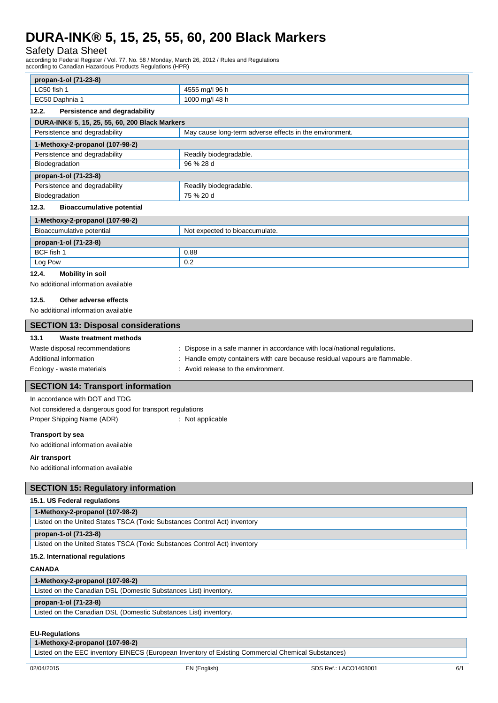# Safety Data Sheet

according to Federal Register / Vol. 77, No. 58 / Monday, March 26, 2012 / Rules and Regulations according to Canadian Hazardous Products Regulations (HPR)

| propan-1-ol (71-23-8) |                |
|-----------------------|----------------|
| LC50 fish 1           | 4555 mg/l 96 h |
| EC50 Daphnia 1        | 1000 mg/l 48 h |

| Persistence and degradability<br>12.2.         |                                                         |  |  |
|------------------------------------------------|---------------------------------------------------------|--|--|
| DURA-INK® 5, 15, 25, 55, 60, 200 Black Markers |                                                         |  |  |
| Persistence and degradability                  | May cause long-term adverse effects in the environment. |  |  |
| 1-Methoxy-2-propanol (107-98-2)                |                                                         |  |  |
| Persistence and degradability                  | Readily biodegradable.                                  |  |  |
| Biodegradation                                 | 96 % 28 d                                               |  |  |
| propan-1-ol (71-23-8)                          |                                                         |  |  |
| Persistence and degradability                  | Readily biodegradable.                                  |  |  |
| Biodegradation                                 | 75 % 20 d                                               |  |  |
| $\cdots$<br>The concerned of the concentration |                                                         |  |  |

### **12.3. Bioaccumulative potential**

| 1-Methoxy-2-propanol (107-98-2) |                                |  |
|---------------------------------|--------------------------------|--|
| Bioaccumulative potential       | Not expected to bioaccumulate. |  |
| propan-1-ol (71-23-8)           |                                |  |
| BCF fish 1                      | 0.88                           |  |
| Log Pow                         | 0.2                            |  |

### **12.4. Mobility in soil**

No additional information available

# **12.5. Other adverse effects**

No additional information available

| <b>SECTION 13: Disposal considerations</b> |                                                                             |  |  |
|--------------------------------------------|-----------------------------------------------------------------------------|--|--|
| 13.1<br>Waste treatment methods            |                                                                             |  |  |
| Waste disposal recommendations             | : Dispose in a safe manner in accordance with local/national regulations.   |  |  |
| Additional information                     | : Handle empty containers with care because residual vapours are flammable. |  |  |
| Ecology - waste materials                  | : Avoid release to the environment.                                         |  |  |
|                                            |                                                                             |  |  |
| <b>SECTION 14: Transport information</b>   |                                                                             |  |  |

In accordance with DOT and TDG Not considered a dangerous good for transport regulations Proper Shipping Name (ADR) : Not applicable

#### **Transport by sea**

No additional information available

#### **Air transport**

No additional information available

# **SECTION 15: Regulatory information**

#### **15.1. US Federal regulations**

| 1-Methoxy-2-propanol (107-98-2)                                           |  |
|---------------------------------------------------------------------------|--|
| Listed on the United States TSCA (Toxic Substances Control Act) inventory |  |
| propan-1-ol (71-23-8)                                                     |  |
| Listed on the United States TSCA (Toxic Substances Control Act) inventory |  |
| 15.2. International regulations                                           |  |

#### **CANADA**

#### **1-Methoxy-2-propanol (107-98-2)**

Listed on the Canadian DSL (Domestic Substances List) inventory.

### **propan-1-ol (71-23-8)**

Listed on the Canadian DSL (Domestic Substances List) inventory.

### **EU-Regulations**

**1-Methoxy-2-propanol (107-98-2)**

Listed on the EEC inventory EINECS (European Inventory of Existing Commercial Chemical Substances)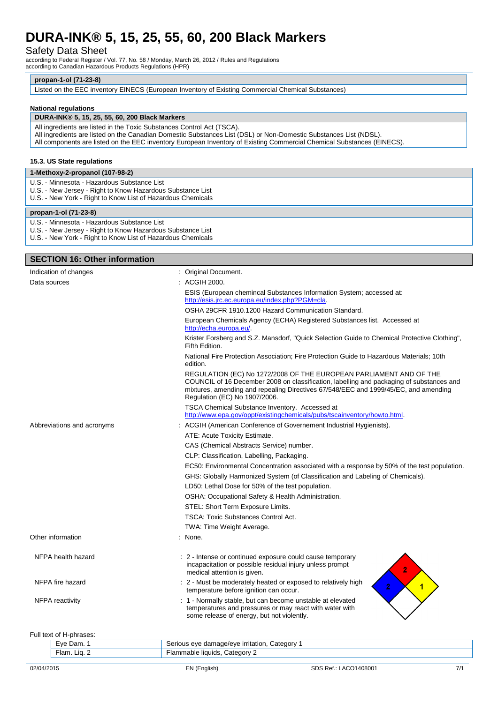# Safety Data Sheet

according to Federal Register / Vol. 77, No. 58 / Monday, March 26, 2012 / Rules and Regulations according to Canadian Hazardous Products Regulations (HPR)

# **propan-1-ol (71-23-8)**

Listed on the EEC inventory EINECS (European Inventory of Existing Commercial Chemical Substances)

#### **National regulations**

# **DURA-INK® 5, 15, 25, 55, 60, 200 Black Markers**

- All ingredients are listed in the Toxic Substances Control Act (TSCA).
- All ingredients are listed on the Canadian Domestic Substances List (DSL) or Non-Domestic Substances List (NDSL).

All components are listed on the EEC inventory European Inventory of Existing Commercial Chemical Substances (EINECS).

### **15.3. US State regulations**

#### **1-Methoxy-2-propanol (107-98-2)**

- U.S. Minnesota Hazardous Substance List
- U.S. New Jersey Right to Know Hazardous Substance List
- U.S. New York Right to Know List of Hazardous Chemicals

#### **propan-1-ol (71-23-8)**

- U.S. Minnesota Hazardous Substance List
- U.S. New Jersey Right to Know Hazardous Substance List
- U.S. New York Right to Know List of Hazardous Chemicals

# **SECTION 16: Other information** Indication of changes **indication** of changes in the state of the state of the state of the state of the state of the state of the state of the state of the state of the state of the state of the state of the state of the Data sources : ACGIH 2000. ESIS (European chemincal Substances Information System; accessed at: [http://esis.jrc.ec.europa.eu/index.php?PGM=cla.](http://esis.jrc.ec.europa.eu/index.php?PGM=cla)  OSHA 29CFR 1910.1200 Hazard Communication Standard. European Chemicals Agency (ECHA) Registered Substances list. Accessed at http://echa.europa.eu/ Krister Forsberg and S.Z. Mansdorf, "Quick Selection Guide to Chemical Protective Clothing", Fifth Edition. National Fire Protection Association; Fire Protection Guide to Hazardous Materials; 10th edition. REGULATION (EC) No 1272/2008 OF THE EUROPEAN PARLIAMENT AND OF THE COUNCIL of 16 December 2008 on classification, labelling and packaging of substances and mixtures, amending and repealing Directives 67/548/EEC and 1999/45/EC, and amending Regulation (EC) No 1907/2006. TSCA Chemical Substance Inventory. Accessed at [http://www.epa.gov/oppt/existingchemicals/pubs/tscainventory/howto.html.](http://www.epa.gov/oppt/existingchemicals/pubs/tscainventory/howto.html) Abbreviations and acronyms : ACGIH (American Conference of Governement Industrial Hygienists). ATE: Acute Toxicity Estimate. CAS (Chemical Abstracts Service) number. CLP: Classification, Labelling, Packaging. EC50: Environmental Concentration associated with a response by 50% of the test population. GHS: Globally Harmonized System (of Classification and Labeling of Chemicals). LD50: Lethal Dose for 50% of the test population. OSHA: Occupational Safety & Health Administration. STEL: Short Term Exposure Limits. TSCA: Toxic Substances Control Act. TWA: Time Weight Average. Other information in the set of the set of the set of the set of the set of the set of the set of the set of the set of the set of the set of the set of the set of the set of the set of the set of the set of the set of the NFPA health hazard **interval in the state of the state of continued exposure could cause temporary** incapacitation or possible residual injury unless prompt medical attention is given. NFPA fire hazard **in the state of the state of the moderately heated or exposed to relatively high** NFPA fire  $\blacksquare$ temperature before ignition can occur. NFPA reactivity : 1 - Normally stable, but can become unstable at elevated temperatures and pressures or may react with water with some release of energy, but not violently. Full text of H-phrases: Liste Dam. 1 Serious eye damage/eye irritation, Category 1

| המרי.<br>=ve<br>- | ∴ateαorv<br><b>irritation</b><br>1e/eve<br>eve<br>$\sim$<br>− |
|-------------------|---------------------------------------------------------------|
| LΙα.<br>∙lam      | .atecc<br>uids<br>11 M<br>"                                   |
|                   |                                                               |